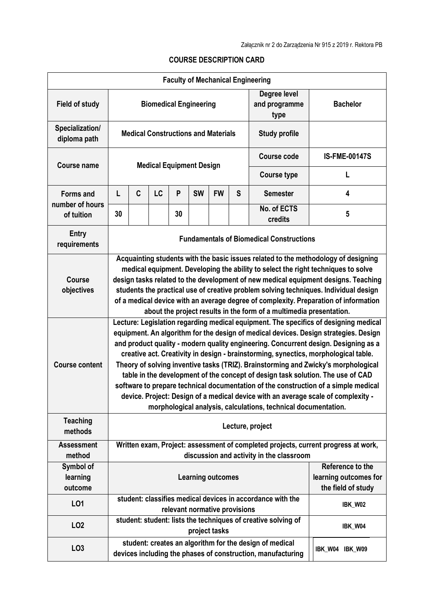| <b>Faculty of Mechanical Engineering</b>          |                                                                                                                                                                                                                                                                                                                                                                                                                                                                                                                                                                                                                                                                                                                                                                                   |                          |    |    |           |               |                               |                                                                                                                        |                                                                                    |  |
|---------------------------------------------------|-----------------------------------------------------------------------------------------------------------------------------------------------------------------------------------------------------------------------------------------------------------------------------------------------------------------------------------------------------------------------------------------------------------------------------------------------------------------------------------------------------------------------------------------------------------------------------------------------------------------------------------------------------------------------------------------------------------------------------------------------------------------------------------|--------------------------|----|----|-----------|---------------|-------------------------------|------------------------------------------------------------------------------------------------------------------------|------------------------------------------------------------------------------------|--|
| <b>Field of study</b>                             | <b>Biomedical Engineering</b>                                                                                                                                                                                                                                                                                                                                                                                                                                                                                                                                                                                                                                                                                                                                                     |                          |    |    |           |               |                               | Degree level<br>and programme<br>type                                                                                  | <b>Bachelor</b>                                                                    |  |
| Specialization/<br>diploma path                   | <b>Medical Constructions and Materials</b><br><b>Study profile</b>                                                                                                                                                                                                                                                                                                                                                                                                                                                                                                                                                                                                                                                                                                                |                          |    |    |           |               |                               |                                                                                                                        |                                                                                    |  |
| <b>Course name</b>                                | <b>Medical Equipment Design</b>                                                                                                                                                                                                                                                                                                                                                                                                                                                                                                                                                                                                                                                                                                                                                   |                          |    |    |           |               |                               | <b>Course code</b>                                                                                                     | <b>IS-FME-00147S</b>                                                               |  |
|                                                   |                                                                                                                                                                                                                                                                                                                                                                                                                                                                                                                                                                                                                                                                                                                                                                                   |                          |    |    |           |               |                               | <b>Course type</b>                                                                                                     | L                                                                                  |  |
| <b>Forms and</b><br>number of hours<br>of tuition | L                                                                                                                                                                                                                                                                                                                                                                                                                                                                                                                                                                                                                                                                                                                                                                                 | C                        | LC | P  | <b>SW</b> | <b>FW</b>     | S                             | <b>Semester</b>                                                                                                        | 4                                                                                  |  |
|                                                   | 30                                                                                                                                                                                                                                                                                                                                                                                                                                                                                                                                                                                                                                                                                                                                                                                |                          |    | 30 |           |               |                               | No. of ECTS<br>credits                                                                                                 | 5                                                                                  |  |
| <b>Entry</b><br>requirements                      | <b>Fundamentals of Biomedical Constructions</b>                                                                                                                                                                                                                                                                                                                                                                                                                                                                                                                                                                                                                                                                                                                                   |                          |    |    |           |               |                               |                                                                                                                        |                                                                                    |  |
| <b>Course</b><br>objectives                       | Acquainting students with the basic issues related to the methodology of designing<br>medical equipment. Developing the ability to select the right techniques to solve<br>design tasks related to the development of new medical equipment designs. Teaching<br>students the practical use of creative problem solving techniques. Individual design<br>of a medical device with an average degree of complexity. Preparation of information<br>about the project results in the form of a multimedia presentation.                                                                                                                                                                                                                                                              |                          |    |    |           |               |                               |                                                                                                                        |                                                                                    |  |
| <b>Course content</b>                             | Lecture: Legislation regarding medical equipment. The specifics of designing medical<br>equipment. An algorithm for the design of medical devices. Design strategies. Design<br>and product quality - modern quality engineering. Concurrent design. Designing as a<br>creative act. Creativity in design - brainstorming, synectics, morphological table.<br>Theory of solving inventive tasks (TRIZ). Brainstorming and Zwicky's morphological<br>table in the development of the concept of design task solution. The use of CAD<br>software to prepare technical documentation of the construction of a simple medical<br>device. Project: Design of a medical device with an average scale of complexity -<br>morphological analysis, calculations, technical documentation. |                          |    |    |           |               |                               |                                                                                                                        |                                                                                    |  |
| <b>Teaching</b><br>methods                        | Lecture, project                                                                                                                                                                                                                                                                                                                                                                                                                                                                                                                                                                                                                                                                                                                                                                  |                          |    |    |           |               |                               |                                                                                                                        |                                                                                    |  |
| <b>Assessment</b><br>method                       |                                                                                                                                                                                                                                                                                                                                                                                                                                                                                                                                                                                                                                                                                                                                                                                   |                          |    |    |           |               |                               | discussion and activity in the classroom                                                                               | Written exam, Project: assessment of completed projects, current progress at work, |  |
| Symbol of                                         |                                                                                                                                                                                                                                                                                                                                                                                                                                                                                                                                                                                                                                                                                                                                                                                   |                          |    |    |           |               |                               |                                                                                                                        | Reference to the                                                                   |  |
| learning<br>outcome                               |                                                                                                                                                                                                                                                                                                                                                                                                                                                                                                                                                                                                                                                                                                                                                                                   | <b>Learning outcomes</b> |    |    |           |               |                               | learning outcomes for<br>the field of study                                                                            |                                                                                    |  |
| LO1                                               |                                                                                                                                                                                                                                                                                                                                                                                                                                                                                                                                                                                                                                                                                                                                                                                   |                          |    |    |           |               | relevant normative provisions | student: classifies medical devices in accordance with the                                                             | IBK_W02                                                                            |  |
| LO <sub>2</sub>                                   |                                                                                                                                                                                                                                                                                                                                                                                                                                                                                                                                                                                                                                                                                                                                                                                   |                          |    |    |           | project tasks |                               | student: student: lists the techniques of creative solving of                                                          | IBK_W04                                                                            |  |
| LO <sub>3</sub>                                   |                                                                                                                                                                                                                                                                                                                                                                                                                                                                                                                                                                                                                                                                                                                                                                                   |                          |    |    |           |               |                               | student: creates an algorithm for the design of medical<br>devices including the phases of construction, manufacturing | IBK_W04 IBK_W09                                                                    |  |